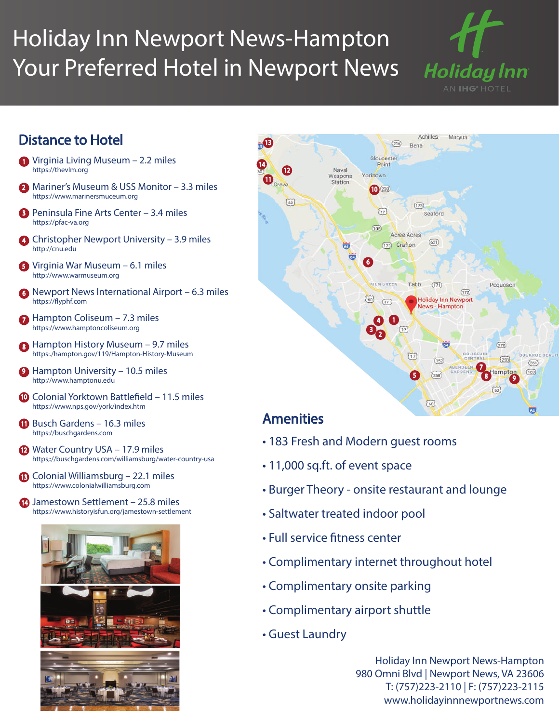## Holiday Inn Newport News-Hampton Your Preferred Hotel in Newport News



## Distance to Hotel

- 1 Virginia Living Museum 2.2 miles https://thevlm.org
- 2 Mariner's Museum & USS Monitor 3.3 miles https://www.marinersmuceum.org
- 3 Peninsula Fine Arts Center 3.4 miles https://pfac-va.org
- 4 Christopher Newport University 3.9 miles http://cnu.edu
- 5 Virginia War Museum 6.1 miles http://www.warmuseum.org
- 6 Newport News International Airport 6.3 miles https://flyphf.com
- **7** Hampton Coliseum 7.3 miles https://www.hamptoncoliseum.org
- 8 Hampton History Museum 9.7 miles https:./hampton.gov/119/Hampton-History-Museum
- **9** Hampton University 10.5 miles http://www.hamptonu.edu
- <sup>10</sup> Colonial Yorktown Battlefield 11.5 miles https://www.nps.gov/york/index.htm
- **11** Busch Gardens 16.3 miles https://buschgardens.com
- **12** Water Country USA 17.9 miles https;://buschgardens.com/williamsburg/water-country-usa
- **13** Colonial Williamsburg 22.1 miles https://www.colonialwilliamsburg.com
- **14** Jamestown Settlement 25.8 miles https://www.historyisfun.org/jamestown-settlement





## Amenities

- 183 Fresh and Modern guest rooms
- 11,000 sq.ft. of event space
- Burger Theory onsite restaurant and lounge
- Saltwater treated indoor pool
- Full service fitness center
- Complimentary internet throughout hotel
- Complimentary onsite parking
- Complimentary airport shuttle
- Guest Laundry

Holiday Inn Newport News-Hampton 980 Omni Blvd | Newport News, VA 23606 T: (757)223-2110 | F: (757)223-2115 www.holidayinnnewportnews.com